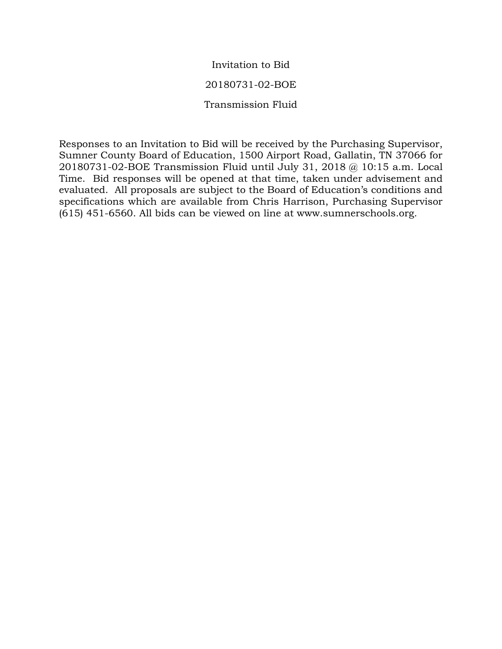Invitation to Bid 20180731-02-BOE Transmission Fluid

Responses to an Invitation to Bid will be received by the Purchasing Supervisor, Sumner County Board of Education, 1500 Airport Road, Gallatin, TN 37066 for 20180731-02-BOE Transmission Fluid until July 31, 2018 @ 10:15 a.m. Local Time. Bid responses will be opened at that time, taken under advisement and evaluated. All proposals are subject to the Board of Education's conditions and specifications which are available from Chris Harrison, Purchasing Supervisor (615) 451-6560. All bids can be viewed on line at www.sumnerschools.org.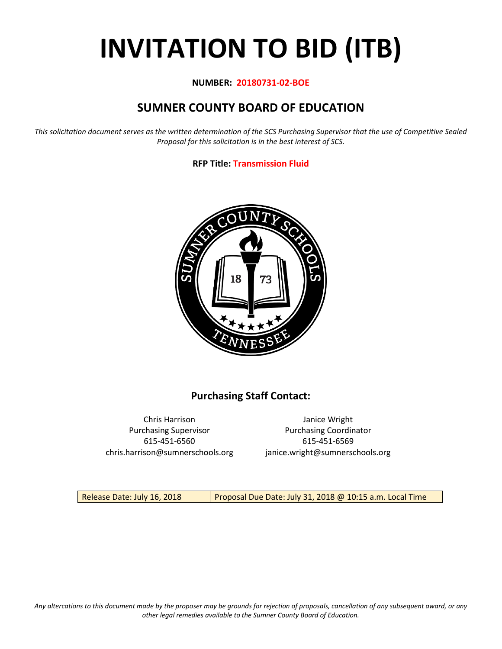# **INVITATION TO BID (ITB)**

#### **NUMBER: 20180731-02-BOE**

## **SUMNER COUNTY BOARD OF EDUCATION**

*This solicitation document serves as the written determination of the SCS Purchasing Supervisor that the use of Competitive Sealed Proposal for this solicitation is in the best interest of SCS.*

#### **RFP Title: Transmission Fluid**



## **Purchasing Staff Contact:**

Chris Harrison Janice Wright 615-451-6560 615-451-6569 chris.harrison@sumnerschools.org janice.wright@sumnerschools.org

Purchasing Supervisor **Purchasing Coordinator** 

Release Date: July 16, 2018 | Proposal Due Date: July 31, 2018 @ 10:15 a.m. Local Time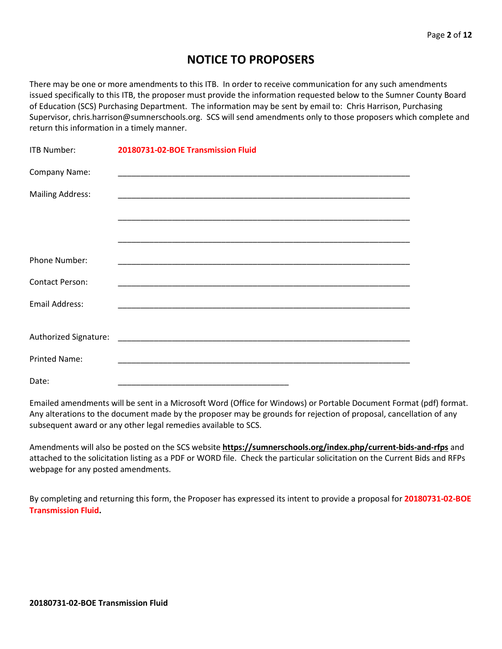## **NOTICE TO PROPOSERS**

There may be one or more amendments to this ITB. In order to receive communication for any such amendments issued specifically to this ITB, the proposer must provide the information requested below to the Sumner County Board of Education (SCS) Purchasing Department. The information may be sent by email to: Chris Harrison, Purchasing Supervisor, chris.harrison@sumnerschools.org. SCS will send amendments only to those proposers which complete and return this information in a timely manner.

| <b>ITB Number:</b>      | 20180731-02-BOE Transmission Fluid |
|-------------------------|------------------------------------|
| Company Name:           |                                    |
| <b>Mailing Address:</b> |                                    |
|                         |                                    |
|                         |                                    |
| Phone Number:           |                                    |
| <b>Contact Person:</b>  |                                    |
| <b>Email Address:</b>   |                                    |
|                         |                                    |
|                         |                                    |
| <b>Printed Name:</b>    |                                    |
| Date:                   |                                    |

Emailed amendments will be sent in a Microsoft Word (Office for Windows) or Portable Document Format (pdf) format. Any alterations to the document made by the proposer may be grounds for rejection of proposal, cancellation of any subsequent award or any other legal remedies available to SCS.

Amendments will also be posted on the SCS website **https://sumnerschools.org/index.php/current-bids-and-rfps** and attached to the solicitation listing as a PDF or WORD file. Check the particular solicitation on the Current Bids and RFPs webpage for any posted amendments.

By completing and returning this form, the Proposer has expressed its intent to provide a proposal for **20180731-02-BOE Transmission Fluid.**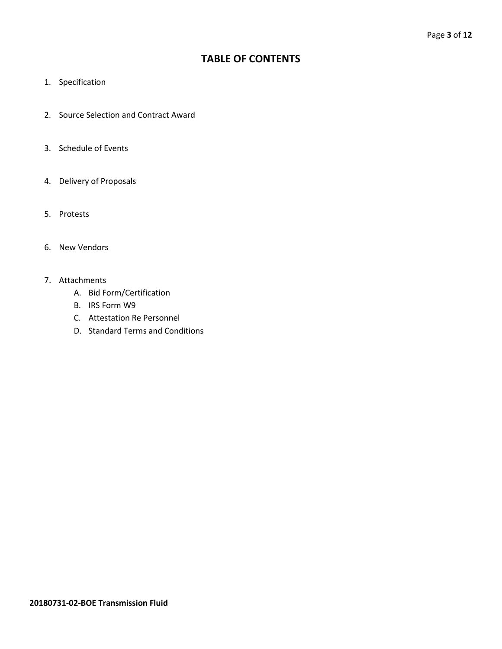### **TABLE OF CONTENTS**

- 1. Specification
- 2. Source Selection and Contract Award
- 3. Schedule of Events
- 4. Delivery of Proposals
- 5. Protests
- 6. New Vendors
- 7. Attachments
	- A. Bid Form/Certification
	- B. IRS Form W9
	- C. Attestation Re Personnel
	- D. Standard Terms and Conditions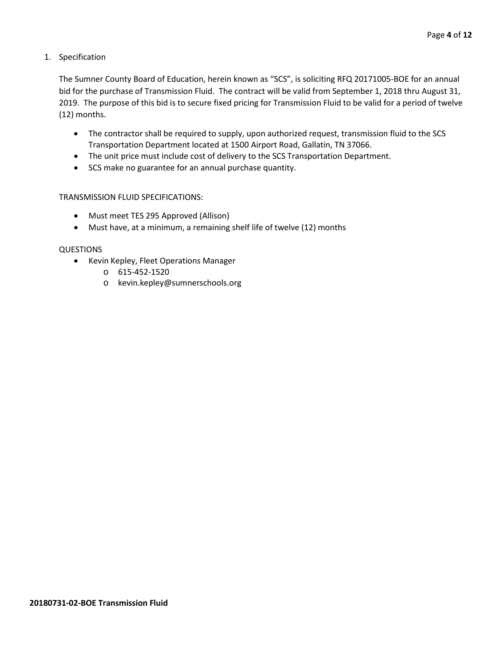1. Specification

The Sumner County Board of Education, herein known as "SCS", is soliciting RFQ 20171005-BOE for an annual bid for the purchase of Transmission Fluid. The contract will be valid from September 1, 2018 thru August 31, 2019. The purpose of this bid is to secure fixed pricing for Transmission Fluid to be valid for a period of twelve (12) months.

- The contractor shall be required to supply, upon authorized request, transmission fluid to the SCS Transportation Department located at 1500 Airport Road, Gallatin, TN 37066.
- The unit price must include cost of delivery to the SCS Transportation Department.
- SCS make no guarantee for an annual purchase quantity.

#### TRANSMISSION FLUID SPECIFICATIONS:

- Must meet TES 295 Approved (Allison)
- Must have, at a minimum, a remaining shelf life of twelve (12) months

#### QUESTIONS

- Kevin Kepley, Fleet Operations Manager
	- o 615-452-1520
	- o kevin.kepley@sumnerschools.org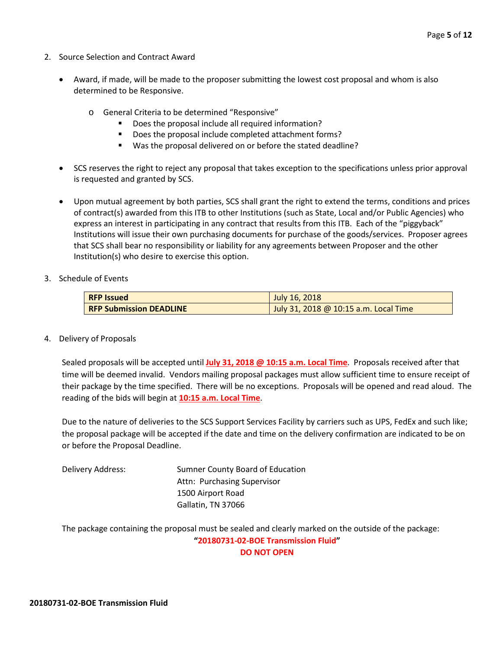- 2. Source Selection and Contract Award
	- Award, if made, will be made to the proposer submitting the lowest cost proposal and whom is also determined to be Responsive.
		- o General Criteria to be determined "Responsive"
			- Does the proposal include all required information?
			- Does the proposal include completed attachment forms?
			- Was the proposal delivered on or before the stated deadline?
	- SCS reserves the right to reject any proposal that takes exception to the specifications unless prior approval is requested and granted by SCS.
	- Upon mutual agreement by both parties, SCS shall grant the right to extend the terms, conditions and prices of contract(s) awarded from this ITB to other Institutions (such as State, Local and/or Public Agencies) who express an interest in participating in any contract that results from this ITB. Each of the "piggyback" Institutions will issue their own purchasing documents for purchase of the goods/services. Proposer agrees that SCS shall bear no responsibility or liability for any agreements between Proposer and the other Institution(s) who desire to exercise this option.
- 3. Schedule of Events

| <b>RFP Issued</b>              | July 16, 2018                         |
|--------------------------------|---------------------------------------|
| <b>RFP Submission DEADLINE</b> | July 31, 2018 @ 10:15 a.m. Local Time |

4. Delivery of Proposals

Sealed proposals will be accepted until **July 31, 2018 @ 10:15 a.m. Local Time**. Proposals received after that time will be deemed invalid. Vendors mailing proposal packages must allow sufficient time to ensure receipt of their package by the time specified. There will be no exceptions. Proposals will be opened and read aloud. The reading of the bids will begin at **10:15 a.m. Local Time**.

Due to the nature of deliveries to the SCS Support Services Facility by carriers such as UPS, FedEx and such like; the proposal package will be accepted if the date and time on the delivery confirmation are indicated to be on or before the Proposal Deadline.

Delivery Address: Sumner County Board of Education Attn: Purchasing Supervisor 1500 Airport Road Gallatin, TN 37066

The package containing the proposal must be sealed and clearly marked on the outside of the package: **"20180731-02-BOE Transmission Fluid" DO NOT OPEN**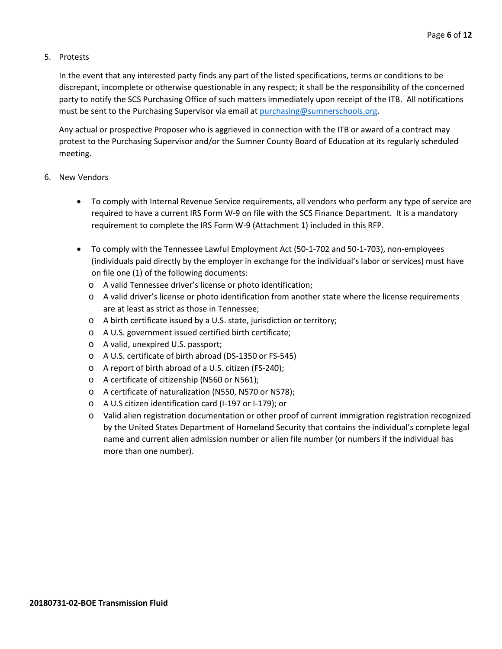#### 5. Protests

In the event that any interested party finds any part of the listed specifications, terms or conditions to be discrepant, incomplete or otherwise questionable in any respect; it shall be the responsibility of the concerned party to notify the SCS Purchasing Office of such matters immediately upon receipt of the ITB. All notifications must be sent to the Purchasing Supervisor via email at [purchasing@sumnerschools.org.](mailto:purchasing@sumnerschools.org)

Any actual or prospective Proposer who is aggrieved in connection with the ITB or award of a contract may protest to the Purchasing Supervisor and/or the Sumner County Board of Education at its regularly scheduled meeting.

#### 6. New Vendors

- To comply with Internal Revenue Service requirements, all vendors who perform any type of service are required to have a current IRS Form W-9 on file with the SCS Finance Department. It is a mandatory requirement to complete the IRS Form W-9 (Attachment 1) included in this RFP.
- To comply with the Tennessee Lawful Employment Act (50-1-702 and 50-1-703), non-employees (individuals paid directly by the employer in exchange for the individual's labor or services) must have on file one (1) of the following documents:
	- o A valid Tennessee driver's license or photo identification;
	- o A valid driver's license or photo identification from another state where the license requirements are at least as strict as those in Tennessee;
	- o A birth certificate issued by a U.S. state, jurisdiction or territory;
	- o A U.S. government issued certified birth certificate;
	- o A valid, unexpired U.S. passport;
	- o A U.S. certificate of birth abroad (DS-1350 or FS-545)
	- o A report of birth abroad of a U.S. citizen (FS-240);
	- o A certificate of citizenship (N560 or N561);
	- o A certificate of naturalization (N550, N570 or N578);
	- o A U.S citizen identification card (I-197 or I-179); or
	- o Valid alien registration documentation or other proof of current immigration registration recognized by the United States Department of Homeland Security that contains the individual's complete legal name and current alien admission number or alien file number (or numbers if the individual has more than one number).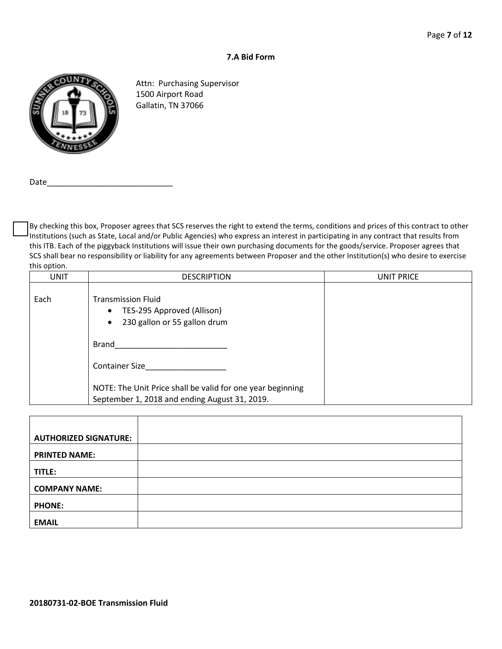#### **7.A Bid Form**



Attn: Purchasing Supervisor 1500 Airport Road Gallatin, TN 37066

Date

By checking this box, Proposer agrees that SCS reserves the right to extend the terms, conditions and prices of this contract to other Institutions (such as State, Local and/or Public Agencies) who express an interest in participating in any contract that results from this ITB. Each of the piggyback Institutions will issue their own purchasing documents for the goods/service. Proposer agrees that SCS shall bear no responsibility or liability for any agreements between Proposer and the other Institution(s) who desire to exercise this option.

| <b>UNIT</b> | <b>DESCRIPTION</b>                                                                                                | UNIT PRICE |
|-------------|-------------------------------------------------------------------------------------------------------------------|------------|
| Each        | <b>Transmission Fluid</b><br>TES-295 Approved (Allison)<br>$\bullet$<br>230 gallon or 55 gallon drum<br>$\bullet$ |            |
|             | Brand                                                                                                             |            |
|             | <b>Container Size</b>                                                                                             |            |
|             | NOTE: The Unit Price shall be valid for one year beginning<br>September 1, 2018 and ending August 31, 2019.       |            |

| <b>AUTHORIZED SIGNATURE:</b> |  |
|------------------------------|--|
| <b>PRINTED NAME:</b>         |  |
| TITLE:                       |  |
| <b>COMPANY NAME:</b>         |  |
| <b>PHONE:</b>                |  |
| <b>EMAIL</b>                 |  |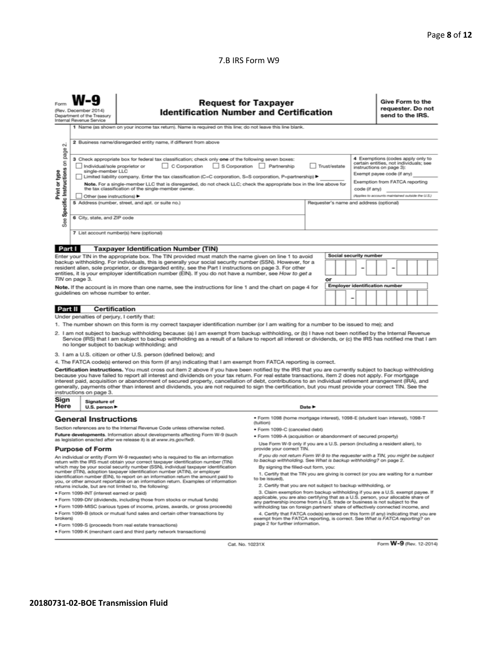#### 7.B IRS Form W9

|                                                                                                                                                                                                                                                                                                                                                                                                                                                                                                                                                                                                                                                                                                                                                    | <b>Request for Taxpayer</b><br>(Rev. December 2014)<br><b>Identification Number and Certification</b><br>Department of the Treasury<br>Internal Revenue Service<br>1 Name (as shown on your income tax return). Name is required on this line; do not leave this line blank.                                                                                                                                                                                                                                                                                                                                                                                                                                                                                                                                                                                                                                                                                                                                                                      |                                                                                                                                                                                                                                                                                                                                                                                                                                                                                                                                                                                                                                                                                                                                                  |                                                                            | Give Form to the<br>requester. Do not<br>send to the IRS. |  |  |  |
|----------------------------------------------------------------------------------------------------------------------------------------------------------------------------------------------------------------------------------------------------------------------------------------------------------------------------------------------------------------------------------------------------------------------------------------------------------------------------------------------------------------------------------------------------------------------------------------------------------------------------------------------------------------------------------------------------------------------------------------------------|---------------------------------------------------------------------------------------------------------------------------------------------------------------------------------------------------------------------------------------------------------------------------------------------------------------------------------------------------------------------------------------------------------------------------------------------------------------------------------------------------------------------------------------------------------------------------------------------------------------------------------------------------------------------------------------------------------------------------------------------------------------------------------------------------------------------------------------------------------------------------------------------------------------------------------------------------------------------------------------------------------------------------------------------------|--------------------------------------------------------------------------------------------------------------------------------------------------------------------------------------------------------------------------------------------------------------------------------------------------------------------------------------------------------------------------------------------------------------------------------------------------------------------------------------------------------------------------------------------------------------------------------------------------------------------------------------------------------------------------------------------------------------------------------------------------|----------------------------------------------------------------------------|-----------------------------------------------------------|--|--|--|
| σû<br>page<br>Specific Instructions on<br>Print or type<br>See                                                                                                                                                                                                                                                                                                                                                                                                                                                                                                                                                                                                                                                                                     | 2 Business name/disregarded entity name, if different from above<br>4 Exemptions (codes apply only to<br>3 Check appropriate box for federal tax classification; check only one of the following seven boxes:<br>certain entities, not individuals; see<br>C Corporation<br>S Corporation Partnership<br>Individual/sole proprietor or<br>Trust/estate<br>instructions on page 3):<br>single-member LLC<br>Exempt payee code (if any)<br>Limited liability company. Enter the tax classification (C=C corporation, S=S corporation, P=partnership) ▶<br>Exemption from FATCA reporting<br>Note. For a single-member LLC that is disregarded, do not check LLC; check the appropriate box in the line above for<br>the tax classification of the single-member owner.<br>code (if anv)<br>(Applies to accounts maintained outside the U.S.)<br>Other (see instructions)<br>5 Address (number, street, and apt. or suite no.)<br>Requester's name and address (optional)<br>6 City, state, and ZIP code<br>7 List account number(s) here (optional) |                                                                                                                                                                                                                                                                                                                                                                                                                                                                                                                                                                                                                                                                                                                                                  |                                                                            |                                                           |  |  |  |
|                                                                                                                                                                                                                                                                                                                                                                                                                                                                                                                                                                                                                                                                                                                                                    |                                                                                                                                                                                                                                                                                                                                                                                                                                                                                                                                                                                                                                                                                                                                                                                                                                                                                                                                                                                                                                                   |                                                                                                                                                                                                                                                                                                                                                                                                                                                                                                                                                                                                                                                                                                                                                  |                                                                            |                                                           |  |  |  |
| Part I<br><b>Taxpayer Identification Number (TIN)</b><br>Social security number<br>Enter your TIN in the appropriate box. The TIN provided must match the name given on line 1 to avoid<br>backup withholding. For individuals, this is generally your social security number (SSN). However, for a<br>resident alien, sole proprietor, or disregarded entity, see the Part I instructions on page 3. For other<br>entities, it is your employer identification number (EIN). If you do not have a number, see How to get a<br>TIN on page 3.<br>or<br><b>Employer identification number</b><br>Note. If the account is in more than one name, see the instructions for line 1 and the chart on page 4 for<br>guidelines on whose number to enter. |                                                                                                                                                                                                                                                                                                                                                                                                                                                                                                                                                                                                                                                                                                                                                                                                                                                                                                                                                                                                                                                   |                                                                                                                                                                                                                                                                                                                                                                                                                                                                                                                                                                                                                                                                                                                                                  |                                                                            |                                                           |  |  |  |
| Part II                                                                                                                                                                                                                                                                                                                                                                                                                                                                                                                                                                                                                                                                                                                                            | <b>Certification</b>                                                                                                                                                                                                                                                                                                                                                                                                                                                                                                                                                                                                                                                                                                                                                                                                                                                                                                                                                                                                                              |                                                                                                                                                                                                                                                                                                                                                                                                                                                                                                                                                                                                                                                                                                                                                  |                                                                            |                                                           |  |  |  |
|                                                                                                                                                                                                                                                                                                                                                                                                                                                                                                                                                                                                                                                                                                                                                    | Under penalties of perjury, I certify that:                                                                                                                                                                                                                                                                                                                                                                                                                                                                                                                                                                                                                                                                                                                                                                                                                                                                                                                                                                                                       |                                                                                                                                                                                                                                                                                                                                                                                                                                                                                                                                                                                                                                                                                                                                                  |                                                                            |                                                           |  |  |  |
|                                                                                                                                                                                                                                                                                                                                                                                                                                                                                                                                                                                                                                                                                                                                                    |                                                                                                                                                                                                                                                                                                                                                                                                                                                                                                                                                                                                                                                                                                                                                                                                                                                                                                                                                                                                                                                   | 1. The number shown on this form is my correct taxpayer identification number (or I am waiting for a number to be issued to me); and<br>2. I am not subject to backup withholding because: (a) I am exempt from backup withholding, or (b) I have not been notified by the Internal Revenue<br>Service (IRS) that I am subject to backup withholding as a result of a failure to report all interest or dividends, or (c) the IRS has notified me that I am<br>no longer subject to backup withholding; and                                                                                                                                                                                                                                      |                                                                            |                                                           |  |  |  |
|                                                                                                                                                                                                                                                                                                                                                                                                                                                                                                                                                                                                                                                                                                                                                    |                                                                                                                                                                                                                                                                                                                                                                                                                                                                                                                                                                                                                                                                                                                                                                                                                                                                                                                                                                                                                                                   | 3. I am a U.S. citizen or other U.S. person (defined below); and                                                                                                                                                                                                                                                                                                                                                                                                                                                                                                                                                                                                                                                                                 |                                                                            |                                                           |  |  |  |
| Sign                                                                                                                                                                                                                                                                                                                                                                                                                                                                                                                                                                                                                                                                                                                                               | instructions on page 3.<br>Signature of                                                                                                                                                                                                                                                                                                                                                                                                                                                                                                                                                                                                                                                                                                                                                                                                                                                                                                                                                                                                           | 4. The FATCA code(s) entered on this form (if any) indicating that I am exempt from FATCA reporting is correct.<br>Certification instructions. You must cross out item 2 above if you have been notified by the IRS that you are currently subject to backup withholding<br>because you have failed to report all interest and dividends on your tax return. For real estate transactions, item 2 does not apply. For mortgage<br>interest paid, acquisition or abandonment of secured property, cancellation of debt, contributions to an individual retirement arrangement (IRA), and<br>generally, payments other than interest and dividends, you are not required to sign the certification, but you must provide your correct TIN. See the |                                                                            |                                                           |  |  |  |
| Here                                                                                                                                                                                                                                                                                                                                                                                                                                                                                                                                                                                                                                                                                                                                               | U.S. person $\blacktriangleright$                                                                                                                                                                                                                                                                                                                                                                                                                                                                                                                                                                                                                                                                                                                                                                                                                                                                                                                                                                                                                 |                                                                                                                                                                                                                                                                                                                                                                                                                                                                                                                                                                                                                                                                                                                                                  |                                                                            | Date $\blacktriangleright$                                |  |  |  |
| <b>General Instructions</b><br>Section references are to the Internal Revenue Code unless otherwise noted.<br>Future developments. Information about developments affecting Form W-9 (such<br>as legislation enacted after we release it) is at www.irs.gov/fw9.                                                                                                                                                                                                                                                                                                                                                                                                                                                                                   |                                                                                                                                                                                                                                                                                                                                                                                                                                                                                                                                                                                                                                                                                                                                                                                                                                                                                                                                                                                                                                                   | · Form 1098 (home mortgage interest), 1098-E (student loan interest), 1098-T<br>(tuition)<br>· Form 1099-C (canceled debt)<br>· Form 1099-A (acquisition or abandonment of secured property)<br>Use Form W-9 only if you are a U.S. person (including a resident alien), to                                                                                                                                                                                                                                                                                                                                                                                                                                                                      |                                                                            |                                                           |  |  |  |
| <b>Purpose of Form</b>                                                                                                                                                                                                                                                                                                                                                                                                                                                                                                                                                                                                                                                                                                                             |                                                                                                                                                                                                                                                                                                                                                                                                                                                                                                                                                                                                                                                                                                                                                                                                                                                                                                                                                                                                                                                   | provide your correct TIN.                                                                                                                                                                                                                                                                                                                                                                                                                                                                                                                                                                                                                                                                                                                        |                                                                            |                                                           |  |  |  |
| An individual or entity (Form W-9 requester) who is required to file an information<br>return with the IRS must obtain your correct taxpayer identification number (TIN)<br>which may be your social security number (SSN), individual taxpayer identification<br>number (ITIN), adoption taxpayer identification number (ATIN), or employer<br>identification number (EIN), to report on an information return the amount paid to<br>you, or other amount reportable on an information return. Examples of information<br>returns include, but are not limited to, the following:<br>· Form 1099-INT (interest earned or paid)                                                                                                                    |                                                                                                                                                                                                                                                                                                                                                                                                                                                                                                                                                                                                                                                                                                                                                                                                                                                                                                                                                                                                                                                   | If you do not return Form W-9 to the requester with a TIN, you might be subject<br>to backup withholding. See What is backup withholding? on page 2.<br>By signing the filled-out form, you:<br>1. Certify that the TIN you are giving is correct (or you are waiting for a number<br>to be issued).<br>2. Certify that you are not subject to backup withholding, or<br>3. Claim exemption from backup withholding if you are a U.S. exempt payee. If<br>applicable, you are also certifying that as a U.S. person, your allocable share of                                                                                                                                                                                                     |                                                                            |                                                           |  |  |  |
| . Form 1099-DIV (dividends, including those from stocks or mutual funds)                                                                                                                                                                                                                                                                                                                                                                                                                                                                                                                                                                                                                                                                           |                                                                                                                                                                                                                                                                                                                                                                                                                                                                                                                                                                                                                                                                                                                                                                                                                                                                                                                                                                                                                                                   |                                                                                                                                                                                                                                                                                                                                                                                                                                                                                                                                                                                                                                                                                                                                                  | any partnership income from a U.S. trade or business is not subject to the |                                                           |  |  |  |
| * Form 1099-MISC (various types of income, prizes, awards, or gross proceeds)<br>. Form 1099-B (stock or mutual fund sales and certain other transactions by<br>brokers)<br>· Form 1099-S (proceeds from real estate transactions)                                                                                                                                                                                                                                                                                                                                                                                                                                                                                                                 |                                                                                                                                                                                                                                                                                                                                                                                                                                                                                                                                                                                                                                                                                                                                                                                                                                                                                                                                                                                                                                                   | withholding tax on foreign partners' share of effectively connected income, and<br>4. Certify that FATCA code(s) entered on this form (if any) indicating that you are<br>exempt from the FATCA reporting, is correct. See What is FATCA reporting? on<br>page 2 for further information.                                                                                                                                                                                                                                                                                                                                                                                                                                                        |                                                                            |                                                           |  |  |  |
| . Form 1099-K (merchant card and third party network transactions)                                                                                                                                                                                                                                                                                                                                                                                                                                                                                                                                                                                                                                                                                 |                                                                                                                                                                                                                                                                                                                                                                                                                                                                                                                                                                                                                                                                                                                                                                                                                                                                                                                                                                                                                                                   |                                                                                                                                                                                                                                                                                                                                                                                                                                                                                                                                                                                                                                                                                                                                                  |                                                                            |                                                           |  |  |  |

Cat. No. 10231X

Form W-9 (Rev. 12-2014)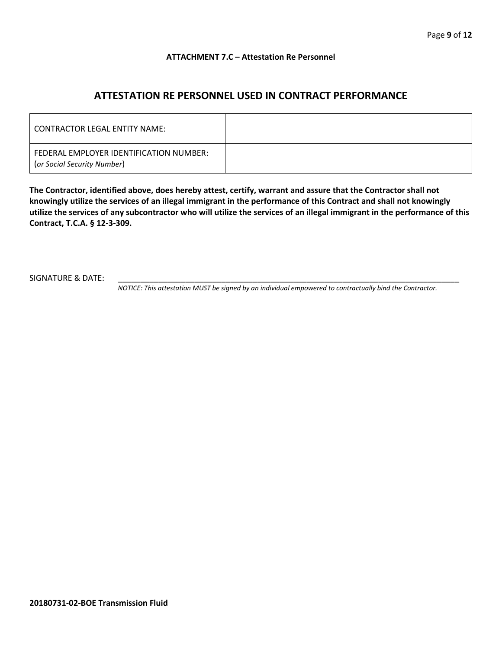#### **ATTACHMENT 7.C – Attestation Re Personnel**

## **ATTESTATION RE PERSONNEL USED IN CONTRACT PERFORMANCE**

| CONTRACTOR LEGAL ENTITY NAME:                                          |  |
|------------------------------------------------------------------------|--|
| FEDERAL EMPLOYER IDENTIFICATION NUMBER:<br>(or Social Security Number) |  |

**The Contractor, identified above, does hereby attest, certify, warrant and assure that the Contractor shall not knowingly utilize the services of an illegal immigrant in the performance of this Contract and shall not knowingly utilize the services of any subcontractor who will utilize the services of an illegal immigrant in the performance of this Contract, T.C.A. § 12-3-309.**

SIGNATURE & DATE:

*NOTICE: This attestation MUST be signed by an individual empowered to contractually bind the Contractor.*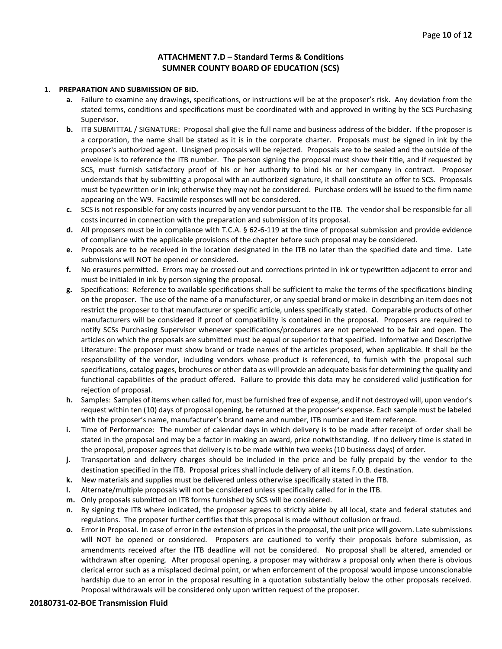#### **ATTACHMENT 7.D – Standard Terms & Conditions SUMNER COUNTY BOARD OF EDUCATION (SCS)**

#### **1. PREPARATION AND SUBMISSION OF BID.**

- **a.** Failure to examine any drawings**,** specifications, or instructions will be at the proposer's risk. Any deviation from the stated terms, conditions and specifications must be coordinated with and approved in writing by the SCS Purchasing Supervisor.
- **b.** ITB SUBMITTAL / SIGNATURE: Proposal shall give the full name and business address of the bidder. If the proposer is a corporation, the name shall be stated as it is in the corporate charter. Proposals must be signed in ink by the proposer's authorized agent. Unsigned proposals will be rejected. Proposals are to be sealed and the outside of the envelope is to reference the ITB number. The person signing the proposal must show their title, and if requested by SCS, must furnish satisfactory proof of his or her authority to bind his or her company in contract. Proposer understands that by submitting a proposal with an authorized signature, it shall constitute an offer to SCS. Proposals must be typewritten or in ink; otherwise they may not be considered. Purchase orders will be issued to the firm name appearing on the W9. Facsimile responses will not be considered.
- **c.** SCS is not responsible for any costs incurred by any vendor pursuant to the ITB. The vendor shall be responsible for all costs incurred in connection with the preparation and submission of its proposal.
- **d.** All proposers must be in compliance with T.C.A. § 62-6-119 at the time of proposal submission and provide evidence of compliance with the applicable provisions of the chapter before such proposal may be considered.
- **e.** Proposals are to be received in the location designated in the ITB no later than the specified date and time. Late submissions will NOT be opened or considered.
- **f.** No erasures permitted. Errors may be crossed out and corrections printed in ink or typewritten adjacent to error and must be initialed in ink by person signing the proposal.
- **g.** Specifications: Reference to available specifications shall be sufficient to make the terms of the specifications binding on the proposer. The use of the name of a manufacturer, or any special brand or make in describing an item does not restrict the proposer to that manufacturer or specific article, unless specifically stated. Comparable products of other manufacturers will be considered if proof of compatibility is contained in the proposal. Proposers are required to notify SCSs Purchasing Supervisor whenever specifications/procedures are not perceived to be fair and open. The articles on which the proposals are submitted must be equal or superior to that specified. Informative and Descriptive Literature: The proposer must show brand or trade names of the articles proposed, when applicable. It shall be the responsibility of the vendor, including vendors whose product is referenced, to furnish with the proposal such specifications, catalog pages, brochures or other data as will provide an adequate basis for determining the quality and functional capabilities of the product offered. Failure to provide this data may be considered valid justification for rejection of proposal.
- **h.** Samples: Samples of items when called for, must be furnished free of expense, and if not destroyed will, upon vendor's request within ten (10) days of proposal opening, be returned at the proposer's expense. Each sample must be labeled with the proposer's name, manufacturer's brand name and number, ITB number and item reference.
- **i.** Time of Performance: The number of calendar days in which delivery is to be made after receipt of order shall be stated in the proposal and may be a factor in making an award, price notwithstanding. If no delivery time is stated in the proposal, proposer agrees that delivery is to be made within two weeks (10 business days) of order.
- **j.** Transportation and delivery charges should be included in the price and be fully prepaid by the vendor to the destination specified in the ITB. Proposal prices shall include delivery of all items F.O.B. destination.
- **k.** New materials and supplies must be delivered unless otherwise specifically stated in the ITB.
- **l.** Alternate/multiple proposals will not be considered unless specifically called for in the ITB.
- **m.** Only proposals submitted on ITB forms furnished by SCS will be considered.
- **n.** By signing the ITB where indicated, the proposer agrees to strictly abide by all local, state and federal statutes and regulations. The proposer further certifies that this proposal is made without collusion or fraud.
- **o.** Error in Proposal. In case of error in the extension of prices in the proposal, the unit price will govern. Late submissions will NOT be opened or considered. Proposers are cautioned to verify their proposals before submission, as amendments received after the ITB deadline will not be considered. No proposal shall be altered, amended or withdrawn after opening. After proposal opening, a proposer may withdraw a proposal only when there is obvious clerical error such as a misplaced decimal point, or when enforcement of the proposal would impose unconscionable hardship due to an error in the proposal resulting in a quotation substantially below the other proposals received. Proposal withdrawals will be considered only upon written request of the proposer.

#### **20180731-02-BOE Transmission Fluid**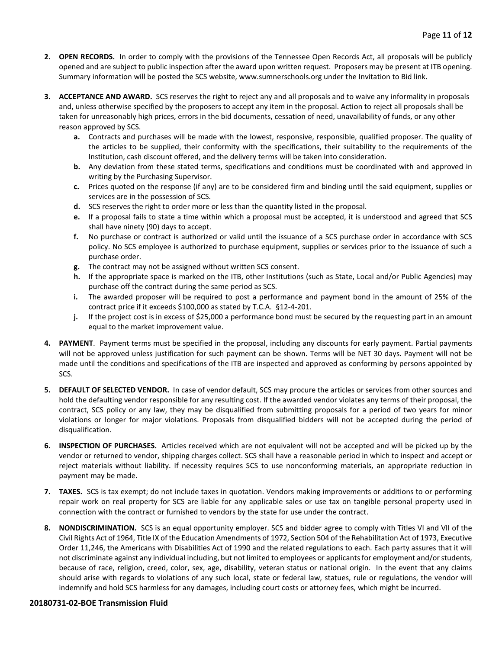- **2. OPEN RECORDS.** In order to comply with the provisions of the Tennessee Open Records Act, all proposals will be publicly opened and are subject to public inspection after the award upon written request. Proposers may be present at ITB opening. Summary information will be posted the SCS website, www.sumnerschools.org under the Invitation to Bid link.
- **3. ACCEPTANCE AND AWARD.** SCS reserves the right to reject any and all proposals and to waive any informality in proposals and, unless otherwise specified by the proposers to accept any item in the proposal. Action to reject all proposals shall be taken for unreasonably high prices, errors in the bid documents, cessation of need, unavailability of funds, or any other reason approved by SCS.
	- **a.** Contracts and purchases will be made with the lowest, responsive, responsible, qualified proposer. The quality of the articles to be supplied, their conformity with the specifications, their suitability to the requirements of the Institution, cash discount offered, and the delivery terms will be taken into consideration.
	- **b.** Any deviation from these stated terms, specifications and conditions must be coordinated with and approved in writing by the Purchasing Supervisor.
	- **c.** Prices quoted on the response (if any) are to be considered firm and binding until the said equipment, supplies or services are in the possession of SCS.
	- **d.** SCS reserves the right to order more or less than the quantity listed in the proposal.
	- **e.** If a proposal fails to state a time within which a proposal must be accepted, it is understood and agreed that SCS shall have ninety (90) days to accept.
	- **f.** No purchase or contract is authorized or valid until the issuance of a SCS purchase order in accordance with SCS policy. No SCS employee is authorized to purchase equipment, supplies or services prior to the issuance of such a purchase order.
	- **g.** The contract may not be assigned without written SCS consent.
	- **h.** If the appropriate space is marked on the ITB, other Institutions (such as State, Local and/or Public Agencies) may purchase off the contract during the same period as SCS.
	- **i.** The awarded proposer will be required to post a performance and payment bond in the amount of 25% of the contract price if it exceeds \$100,000 as stated by T.C.A. §12-4-201.
	- **j.** If the project cost is in excess of \$25,000 a performance bond must be secured by the requesting part in an amount equal to the market improvement value.
- **4. PAYMENT**. Payment terms must be specified in the proposal, including any discounts for early payment. Partial payments will not be approved unless justification for such payment can be shown. Terms will be NET 30 days. Payment will not be made until the conditions and specifications of the ITB are inspected and approved as conforming by persons appointed by SCS.
- **5. DEFAULT OF SELECTED VENDOR.** In case of vendor default, SCS may procure the articles or services from other sources and hold the defaulting vendor responsible for any resulting cost. If the awarded vendor violates any terms of their proposal, the contract, SCS policy or any law, they may be disqualified from submitting proposals for a period of two years for minor violations or longer for major violations. Proposals from disqualified bidders will not be accepted during the period of disqualification.
- **6. INSPECTION OF PURCHASES.** Articles received which are not equivalent will not be accepted and will be picked up by the vendor or returned to vendor, shipping charges collect. SCS shall have a reasonable period in which to inspect and accept or reject materials without liability. If necessity requires SCS to use nonconforming materials, an appropriate reduction in payment may be made.
- **7. TAXES.** SCS is tax exempt; do not include taxes in quotation. Vendors making improvements or additions to or performing repair work on real property for SCS are liable for any applicable sales or use tax on tangible personal property used in connection with the contract or furnished to vendors by the state for use under the contract.
- **8. NONDISCRIMINATION.** SCS is an equal opportunity employer. SCS and bidder agree to comply with Titles VI and VII of the Civil Rights Act of 1964, Title IX of the Education Amendments of 1972, Section 504 of the Rehabilitation Act of 1973, Executive Order 11,246, the Americans with Disabilities Act of 1990 and the related regulations to each. Each party assures that it will not discriminate against any individual including, but not limited to employees or applicants for employment and/or students, because of race, religion, creed, color, sex, age, disability, veteran status or national origin. In the event that any claims should arise with regards to violations of any such local, state or federal law, statues, rule or regulations, the vendor will indemnify and hold SCS harmless for any damages, including court costs or attorney fees, which might be incurred.

#### **20180731-02-BOE Transmission Fluid**